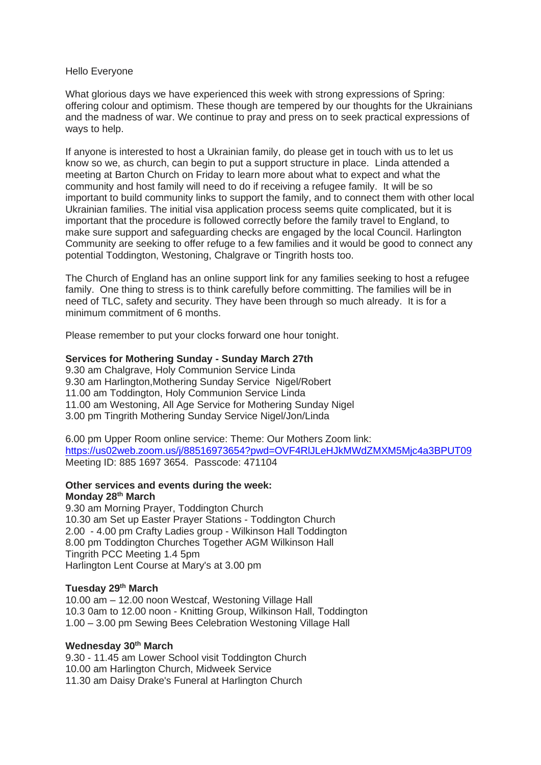#### Hello Everyone

What glorious days we have experienced this week with strong expressions of Spring: offering colour and optimism. These though are tempered by our thoughts for the Ukrainians and the madness of war. We continue to pray and press on to seek practical expressions of ways to help.

If anyone is interested to host a Ukrainian family, do please get in touch with us to let us know so we, as church, can begin to put a support structure in place. Linda attended a meeting at Barton Church on Friday to learn more about what to expect and what the community and host family will need to do if receiving a refugee family. It will be so important to build community links to support the family, and to connect them with other local Ukrainian families. The initial visa application process seems quite complicated, but it is important that the procedure is followed correctly before the family travel to England, to make sure support and safeguarding checks are engaged by the local Council. Harlington Community are seeking to offer refuge to a few families and it would be good to connect any potential Toddington, Westoning, Chalgrave or Tingrith hosts too.

The Church of England has an online support link for any families seeking to host a refugee family. One thing to stress is to think carefully before committing. The families will be in need of TLC, safety and security. They have been through so much already. It is for a minimum commitment of 6 months.

Please remember to put your clocks forward one hour tonight.

## **Services for Mothering Sunday - Sunday March 27th**

9.30 am Chalgrave, Holy Communion Service Linda 9.30 am Harlington,Mothering Sunday Service Nigel/Robert 11.00 am Toddington, Holy Communion Service Linda 11.00 am Westoning, All Age Service for Mothering Sunday Nigel 3.00 pm Tingrith Mothering Sunday Service Nigel/Jon/Linda

6.00 pm Upper Room online service: Theme: Our Mothers Zoom link: <https://us02web.zoom.us/j/88516973654?pwd=OVF4RlJLeHJkMWdZMXM5Mjc4a3BPUT09> Meeting ID: 885 1697 3654. Passcode: 471104

## **Other services and events during the week: Monday 28th March**

9.30 am Morning Prayer, Toddington Church 10.30 am Set up Easter Prayer Stations - Toddington Church 2.00 - 4.00 pm Crafty Ladies group - Wilkinson Hall Toddington 8.00 pm Toddington Churches Together AGM Wilkinson Hall Tingrith PCC Meeting 1.4 5pm Harlington Lent Course at Mary's at 3.00 pm

## **Tuesday 29th March**

10.00 am – 12.00 noon Westcaf, Westoning Village Hall 10.3 0am to 12.00 noon - Knitting Group, Wilkinson Hall, Toddington 1.00 – 3.00 pm Sewing Bees Celebration Westoning Village Hall

#### **Wednesday 30th March**

9.30 - 11.45 am Lower School visit Toddington Church 10.00 am Harlington Church, Midweek Service 11.30 am Daisy Drake's Funeral at Harlington Church